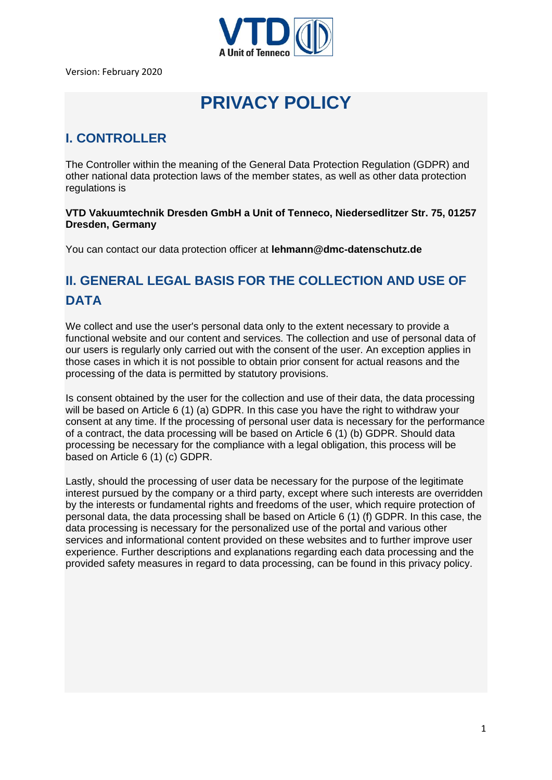

Version: February 2020

# **PRIVACY POLICY**

#### **I. CONTROLLER**

The Controller within the meaning of the General Data Protection Regulation (GDPR) and other national data protection laws of the member states, as well as other data protection regulations is

**VTD Vakuumtechnik Dresden GmbH a Unit of Tenneco, Niedersedlitzer Str. 75, 01257 Dresden, Germany**

You can contact our data protection officer at **lehmann@dmc-datenschutz.de**

# **II. GENERAL LEGAL BASIS FOR THE COLLECTION AND USE OF DATA**

We collect and use the user's personal data only to the extent necessary to provide a functional website and our content and services. The collection and use of personal data of our users is regularly only carried out with the consent of the user. An exception applies in those cases in which it is not possible to obtain prior consent for actual reasons and the processing of the data is permitted by statutory provisions.

Is consent obtained by the user for the collection and use of their data, the data processing will be based on Article 6 (1) (a) GDPR. In this case you have the right to withdraw your consent at any time. If the processing of personal user data is necessary for the performance of a contract, the data processing will be based on Article 6 (1) (b) GDPR. Should data processing be necessary for the compliance with a legal obligation, this process will be based on Article 6 (1) (c) GDPR.

Lastly, should the processing of user data be necessary for the purpose of the legitimate interest pursued by the company or a third party, except where such interests are overridden by the interests or fundamental rights and freedoms of the user, which require protection of personal data, the data processing shall be based on Article 6 (1) (f) GDPR. In this case, the data processing is necessary for the personalized use of the portal and various other services and informational content provided on these websites and to further improve user experience. Further descriptions and explanations regarding each data processing and the provided safety measures in regard to data processing, can be found in this privacy policy.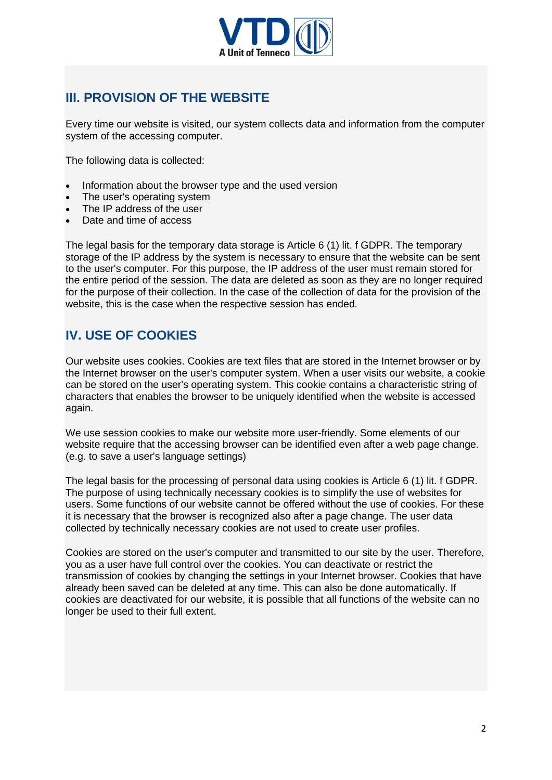

#### **III. PROVISION OF THE WEBSITE**

Every time our website is visited, our system collects data and information from the computer system of the accessing computer.

The following data is collected:

- Information about the browser type and the used version
- The user's operating system
- The IP address of the user
- Date and time of access

The legal basis for the temporary data storage is Article 6 (1) lit. f GDPR. The temporary storage of the IP address by the system is necessary to ensure that the website can be sent to the user's computer. For this purpose, the IP address of the user must remain stored for the entire period of the session. The data are deleted as soon as they are no longer required for the purpose of their collection. In the case of the collection of data for the provision of the website, this is the case when the respective session has ended.

#### **IV. USE OF COOKIES**

Our website uses cookies. Cookies are text files that are stored in the Internet browser or by the Internet browser on the user's computer system. When a user visits our website, a cookie can be stored on the user's operating system. This cookie contains a characteristic string of characters that enables the browser to be uniquely identified when the website is accessed again.

We use session cookies to make our website more user-friendly. Some elements of our website require that the accessing browser can be identified even after a web page change. (e.g. to save a user's language settings)

The legal basis for the processing of personal data using cookies is Article 6 (1) lit. f GDPR. The purpose of using technically necessary cookies is to simplify the use of websites for users. Some functions of our website cannot be offered without the use of cookies. For these it is necessary that the browser is recognized also after a page change. The user data collected by technically necessary cookies are not used to create user profiles.

Cookies are stored on the user's computer and transmitted to our site by the user. Therefore, you as a user have full control over the cookies. You can deactivate or restrict the transmission of cookies by changing the settings in your Internet browser. Cookies that have already been saved can be deleted at any time. This can also be done automatically. If cookies are deactivated for our website, it is possible that all functions of the website can no longer be used to their full extent.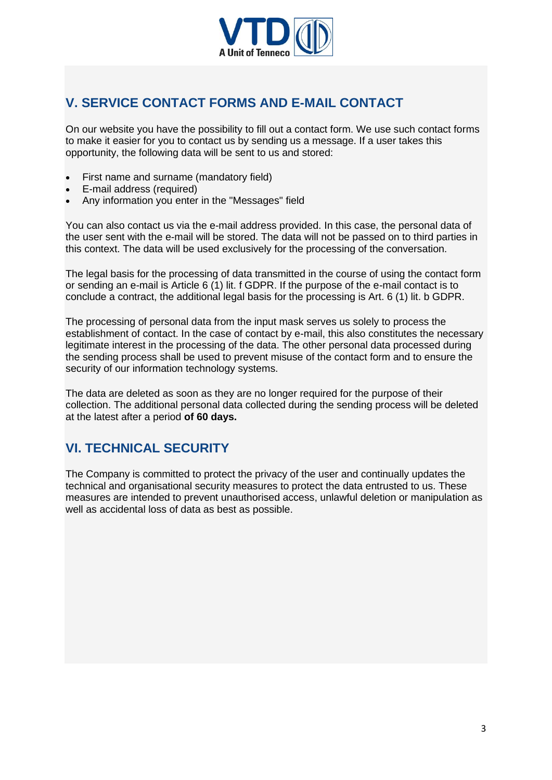

#### **V. SERVICE CONTACT FORMS AND E-MAIL CONTACT**

On our website you have the possibility to fill out a contact form. We use such contact forms to make it easier for you to contact us by sending us a message. If a user takes this opportunity, the following data will be sent to us and stored:

- First name and surname (mandatory field)
- E-mail address (required)
- Any information you enter in the "Messages" field

You can also contact us via the e-mail address provided. In this case, the personal data of the user sent with the e-mail will be stored. The data will not be passed on to third parties in this context. The data will be used exclusively for the processing of the conversation.

The legal basis for the processing of data transmitted in the course of using the contact form or sending an e-mail is Article 6 (1) lit. f GDPR. If the purpose of the e-mail contact is to conclude a contract, the additional legal basis for the processing is Art. 6 (1) lit. b GDPR.

The processing of personal data from the input mask serves us solely to process the establishment of contact. In the case of contact by e-mail, this also constitutes the necessary legitimate interest in the processing of the data. The other personal data processed during the sending process shall be used to prevent misuse of the contact form and to ensure the security of our information technology systems.

The data are deleted as soon as they are no longer required for the purpose of their collection. The additional personal data collected during the sending process will be deleted at the latest after a period **of 60 days.**

#### **VI. TECHNICAL SECURITY**

The Company is committed to protect the privacy of the user and continually updates the technical and organisational security measures to protect the data entrusted to us. These measures are intended to prevent unauthorised access, unlawful deletion or manipulation as well as accidental loss of data as best as possible.